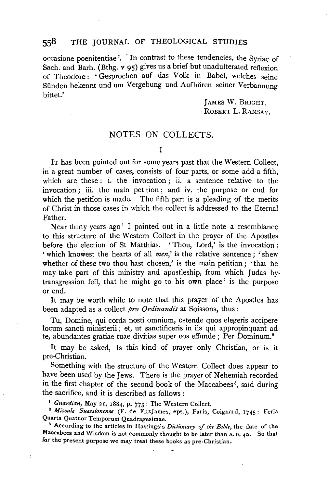#### 558 THE JOURNAL OF THEOLOGICAL STUDIES

occasione poenitentiae '. · In contrast to these tendencies, the Syriac of Sach. and Barh. (Bthg. v 95) gives us a brief but unadulterated reflexion of Theodore: 'Gesprochen auf das Volk in Babel, welches seine Sünden bekennt und um Vergebung und Aufhören seiner Verbannung bittet.'

> JAMES W. BRIGHT. ROBERT L. RAMSAY.

## NOTES ON COLLECTS.

I

IT has been pointed out for some years past that the Western Collect, in a great number of cases, consists of four parts, or some add a fifth, which are these: i. the invocation; ii. a sentence relative to the invocation; iii. the main petition ; and iv. the purpose or end for which the petition is made. The fifth part is a pleading of the merits of Christ in those cases in which the collect is addressed to the Eternal Father.

Near thirty years ago<sup>1</sup> I pointed out in a little note a resemblance to this structure of the Western Collect in the prayer of the Apostles before the election of St Matthias. 'Thou, Lord,' is the invocation; 'which knowest the hearts of all *men,'* is the relative sentence; 'shew whether of these two thou hast chosen,' is the main petition ; 'that he may take part of this ministry and apostleship, from which Judas by; transgression fell, that he might go to his own place' is the purpose or end.

It may be worth while to note that this prayer of the Apostles has been adapted as a collect *pro Ordinandis* at Soissons, thus :

Tu, Domine, qui corda nosti omnium, ostende quos elegeris accipere locum sancti ministerii ; et, ut sanctificeris in iis qui appropinquant ad te, abundantes gratiae tuae divitias super eos effunde; Per Dominum.2

It may be asked, Is this kind of prayer only Christian, or is it pre-Christian.

Something with the structure of the Western Collect does appear to have been used by the Jews. There is the prayer of Nehemiah recorded in the first chapter of the second book of the Maccabees 3, said during the sacrifice, and it is described as follows :<br><sup>1</sup> *Guardian*, May 21, 1884, p. 773 : The Western Collect.<br><sup>2</sup> *Missale Suessionense* (F. de FitzJames, eps.), Paris, Coignard, 1745 : Feria

Quarta Quatuor Temporum Quadragesimae. 3 According to the articles in Hastings's *Dictionary of the Bible,* the date of the

Maccabees and Wisdom is not commonly thought to be later than A.D. 40. So that for the present purpose we may treat these books as pre-Christian.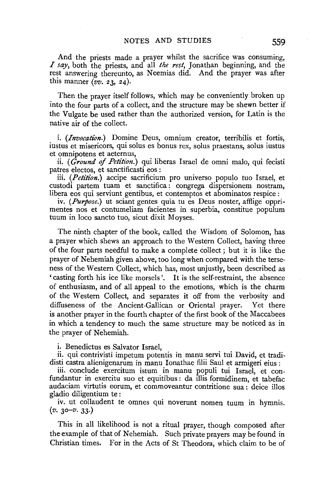And the priests made a prayer whilst the sacrifice was consuming, *I say,* both the priests, and all *the rest,* Jonathan beginning, and the rest answering thereunto, as Neemias did. And the prayer was after this manner *(vv.* 23, 24).

Then the prayer itself follows, which may be conveniently broken up into the four parts of a collect, and the structure may be shewn better if the Vulgate be used rather than the authorized version, for Latin is the native air of the collect.

i. *(Invocation.)* Domine Deus, omnium creator, terribilis et fortis, iustus et misericors, qui solus es bonus rex, solus praestans, solus iustus et omnipotens et aeternus,

ii. *(Ground* of *Petition.)* qui liberas Israel de omni malo, qui fecisti patres electos, et sanctificasti eos :

iii. *(Petition.}* accipe sacrificium pro universo populo tuo Israel, et custodi partem tuam et sanctifica : congrega dispersionem nostram, libera eos qui serviunt gentibus, et contemptos et abominatos respice :

iv. *(Purpose.)* ut sciant gentes quia tu es Deus noster, afflige opprimentes nos et contumeliam facientes in superbia, constitue populum tuum in loco sancto tuo, sicut dixit Moyses.

The ninth chapter of the book, called the Wisdom of Solomon, has a prayer which shews an approach to the Western Collect, having three of the four parts needful to make a complete collect ; but it is like the prayer of Nehemiah given above, too long when compared with the terseness of the Western Collect, which has, most unjustly, been described as 'casting forth his ice like morsels'. It is the self-restraint, the absence of enthusiasm, and of all appeal to the emotions, which is the charm of the Western Collect, and separates it off from the verbosity and diffuseness of the Ancient-Gallican or Oriental prayer. Yet there is another prayer in the fourth chapter of the first book of the Maccabees in which a tendency to much the same structure may be noticed as in the prayer of Nehemiah.

i. Benedictus es Salvator Israel,

ii. qui contrivisti impetum potentis in manu servi tui David, et tradidisti castra alienigenarum in manu Ionathae filii Saul et armigeri eius :

iii. conclude exercitum istum in manu populi tui Israel, et confundantur in exercitu suo et equitibus : da illis formidinem, et tabefac audaciam virtutis eorum, et commoveantur contritione sua : deice illos gladio diligentium te :

iv. ut collaudent te omnes qui noverunt nomen tuum in hymnis.  $(v. 30 - v. 33.)$ 

This in all likelihood is not a ritual prayer, though composed after the example of that of Nehemiah. Such private prayers may be found in Christian times. For in the Acts of St Theodora, which claim to be of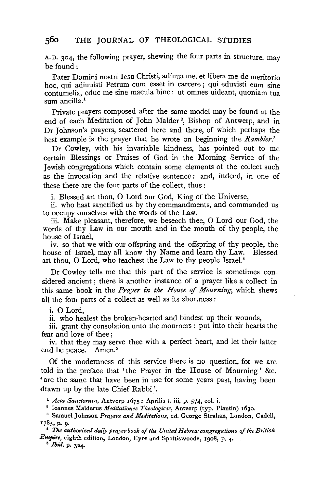## **560** THE JOURNAL OF THEOLOGICAL STUDIES

A.D. 304, the following prayer, shewing the four parts in structure, may be found:

Pater Domini nostri Iesu Christi, adiuua me, et libera me de meritorio hoc, qui adiuuisti Petrum cum esset in carcere; qui eduxisti eum sine contumelia, educ me sine macula hinc: ut omnes uideant, quoniam tua sum ancilla.<sup>1</sup>

Private prayers composed after the same model may be found at the end of each Meditation of John Malder<sup>2</sup>, Bishop of Antwerp, and in Dr Johnson's prayers, scattered here and there, of which perhaps the best example is the prayer that he wrote on beginning the *Rambler. <sup>3</sup>*

Dr Cowley, with his invariable kindness, has pointed out to me certain Blessings or Praises of God in the Morning Service of the Jewish congregations which contain some elements of the collect such as the invocation and the relative sentence: and, indeed, in one of these there are the four parts of the collect, thus :

i. Blessed art thou, 0 Lord our God, King of the Universe,

ii. who hast sanctified us by thy commandments, and commanded us to occupy ourselves with the words of the Law.

iii. Make pleasant, therefore, we beseech thee, 0 Lord our God, the words of thy Law in our mouth and in the mouth of thy people, the house of Israel,

iv. so that we with our offspring and the offspring of thy people, the house of Israel, may all know thy Name and learn thy Law. Blessed art thou, 0 Lord, who teachest the Law to thy people Israel.4

Dr Cowley tells me that this part of the service is sometimes considered ancient ; there is another instance of a prayer like a collect in this same book in the *Prayer in the House* of *Mourning,* which shews all the four parts of a collect as well as its shortness :

i. 0 Lord,

ii. who healest the broken-hearted and bindest up their wounds,

iii. grant thy consolation unto the mourners : put into their hearts the fear and love of thee;

iv. that they may serve thee with a perfect heart, and let their latter end be peace. Amen.<sup>5</sup>

Of the modernness of this service there is no question, for we are told in the preface that 'the Prayer in the House of Mourning ' &c. 'are the same that have been in use for some years past, having been drawn up by the late Chief Rabbi'.

<sup>1</sup>*Acta Sanctorum,* Antverp 1675: Aprilis t. iii, p. 574, col. i.

2 Ioannes Malderus *Meditationes Theologicae,* Antverp (typ. Plantin) 1630.

• Samuel Johnson *Prayers and Meditations,* ed. George Strahan, London, Cadell, 1 785, p. 9·

• *The authorized daily prayer book of the United Hebrew congregations of the British Empi're,* eighth edition, London, Eyre and Spottiswoode, 1908, p. 4. 5 *Ibid,* p. 324.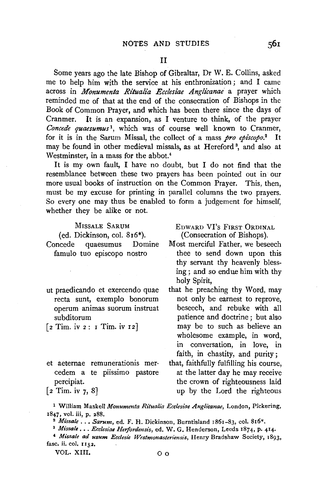Some years ago the late Bishop of Gibraltar, Dr W. E. Collins, asked me to help him with the service at his enthronization ; and I came across in *Monumenta Ritualia Ecclesiae Anglicanae* a prayer which reminded me of that at the end of the consecration of Bishops in the Book of Common Prayer, and which has been there since the days of Cranmer. It is an expansion, as I venture to think, of the prayer *Concede quaesumus* 1, which was of course well known to Cranmer, for it is in the Sarum Missal, the collect of a mass *pro epi'scopo.2* It nay be found in other medieval missals, as at Hereford<sup>3</sup>, and also at Westminster, in a mass for the abbot.<sup>4</sup>

It is my own fault, I have no doubt, but I do not find that the resemblance between these two prayers has been pointed out in our more usual books of instruction on the Common Prayer. This, then, must be my excuse for printing in parallel columns the two prayers. So every one may thus be enabled to form a judgement for himself, whether they be alike or not.

### MrssALE SARUM

(ed. Dickinson, col. 816\*). Concede quaesumus Domine famulo tuo episcopo nostro

- ut praedicando et exercendo quae recta sunt, exemplo bonorum operum animas suorum instruat subditorum
- $\lceil 2$  Tim. iv 2: 1 Tim. iv 12]
- et aeternae remunerationis mercedem a te piissimo pastore percipiat.

EDWARD VI's FIRST ORDINAL (Consecration of Bishops).

- Most merciful Father, we beseech thee to send down upon this thy servant thy heavenly blessing; and so endue him with thy holy Spirit,
- that he preaching thy Word, may not only be earnest to reprove, beseech, and rebuke with all patience and doctrine ; but also may be to such as believe an wholesome example, in word, in conversation, in love, in faith, in chastity, and purity;

that, faithfully fulfilling his course, at the latter day he may receive the crown of righteousness laid up by the Lord the righteous

 $[2 \text{ Tim. iv } 7, 8]$ 

<sup>1</sup> William Maskell *Monumenta Ritualia Ecclesiae Anglicanae,* London, Pickering, 1847, vol. iii, p. 288.<br><sup>2</sup> *Missale ... Sarum*, ed. F. H. Dickinson, Burntisland 1861-83, col. 816\*.<br><sup>3</sup> *Missale ... Ecclesiae Herfordensis*, ed. W. G. Henderson, Leeds 1874, p. 414.

<sup>&</sup>lt;sup>4</sup> Missale ad usum Ecclesie Westmonasteriensis, Henry Bradshaw Society, 1893, fasc. ii. col. 1152.

VOL. XIII. O o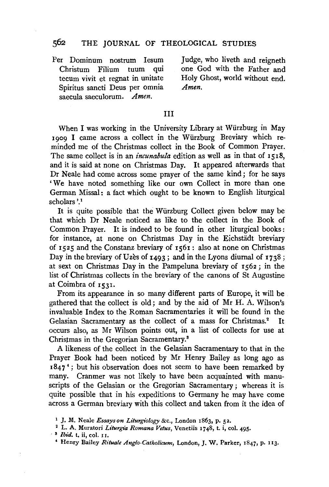## 562 THE JOURNAL OF THEOLOGICAL STUDIES

Per Dominum nostrum Iesum Christum Filium tuum qui tecum vivit et regnat in unitate Spiritus sancti Deus per omnia saecula saeculorum. *Amen.* 

Judge, who liveth and reigneth one God with the Father and Holy Ghost, world without end. *Amen.* 

#### III

When I was working in the University Library at Wiirzburg in May 1909 I came across a collect in the Wiirzburg Breviary which reminded me of the Christmas collect in the Book of Common Prayer. The same collect is in an *incunabula* edition as well as in that of 1518, and it is said at none on Christmas Day. It appeared afterwards that Dr Neale had come across some prayer of the same kind; for he says 'We have noted something like our own Collect in more than one German Missal: a fact which ought to be known to English liturgical scholars<sup>'1</sup>

It is quite possible that the Wiirzburg Collect given below may be that which Dr Neale noticed as like to the collect in the Book of Common Prayer. It is indeed to be found in other liturgical books: for instance, at none on Christmas Day in the Eichstädt breviary of 1525 and the Constanz breviary of 1561: also at none on Christmas Day in the breviary of Uzes of  $1493$ ; and in the Lyons diurnal of  $1738$ ; at sext on Christmas Day in the Pampeluna breviary of 1562; in the list of Christmas collects in the breviary of the canons of St Augustine at Coimbra of 1531.

From its appearance in so many different parts of Europe, it will be gathered that the collect is old ; and by the aid of Mr H. A. Wilson's invaluable Index to the Roman Sacramentaries it will be found in the Gelasian Sacramentary as the collect of a mass for Christmas.<sup>2</sup> It occurs also, as Mr Wilson points out, in a list of collects for use at Christmas in the Gregorian Sacramentary.3

A likeness of the collect in the Gelasian Sacramentary to that in the Prayer Book had been noticed by Mr Henry Bailey as long ago as  $1847<sup>4</sup>$ ; but his observation does not seem to have been remarked by many. Cranmer was not likely to have been acquainted with manuscripts of the Gelasian or the Gregorian Sacramentary ; whereas it is quite possible that in his expeditions to Germany he may have come across a German breviary with this collect and taken from it the idea of

<sup>1</sup> J, M. Neale *Essays on Liturgiology* &c., London 1863, p. 52. 2 L. A. Muratori *Liturgia Romana Vetus,* Venetiis 1748, t. i, col. 495.

<sup>·</sup> s *Ibid.* t. ii, col. II.

<sup>4</sup> Henry Bailey *Rituafe Anglo-Catholicum,* London, J. W. Parker, 1847, p. 113.